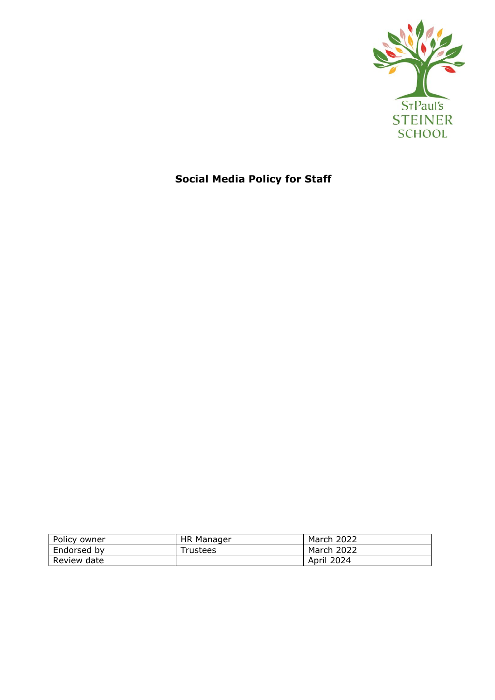

# **Social Media Policy for Staff**

| Policy owner | <b>HR Manager</b> | <b>March 2022</b> |
|--------------|-------------------|-------------------|
| Endorsed by  | Trustees          | March 2022        |
| Review date  |                   | April 2024        |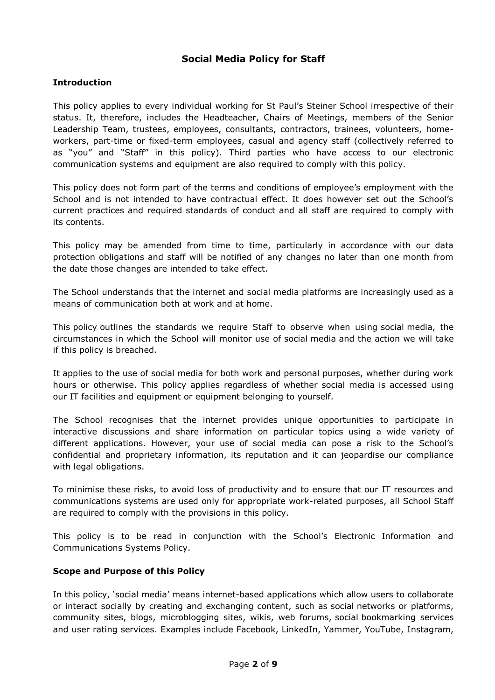## **Social Media Policy for Staff**

## **Introduction**

This policy applies to every individual working for St Paul's Steiner School irrespective of their status. It, therefore, includes the Headteacher, Chairs of Meetings, members of the Senior Leadership Team, trustees, employees, consultants, contractors, trainees, volunteers, homeworkers, part-time or fixed-term employees, casual and agency staff (collectively referred to as "you" and "Staff" in this policy). Third parties who have access to our electronic communication systems and equipment are also required to comply with this policy.

This policy does not form part of the terms and conditions of employee's employment with the School and is not intended to have contractual effect. It does however set out the School's current practices and required standards of conduct and all staff are required to comply with its contents.

This policy may be amended from time to time, particularly in accordance with our data protection obligations and staff will be notified of any changes no later than one month from the date those changes are intended to take effect.

The School understands that the internet and social media platforms are increasingly used as a means of communication both at work and at home.

This policy outlines the standards we require Staff to observe when using social media, the circumstances in which the School will monitor use of social media and the action we will take if this policy is breached.

It applies to the use of social media for both work and personal purposes, whether during work hours or otherwise. This policy applies regardless of whether social media is accessed using our IT facilities and equipment or equipment belonging to yourself.

The School recognises that the internet provides unique opportunities to participate in interactive discussions and share information on particular topics using a wide variety of different applications. However, your use of social media can pose a risk to the School's confidential and proprietary information, its reputation and it can jeopardise our compliance with legal obligations.

To minimise these risks, to avoid loss of productivity and to ensure that our IT resources and communications systems are used only for appropriate work-related purposes, all School Staff are required to comply with the provisions in this policy.

This policy is to be read in conjunction with the School's Electronic Information and Communications Systems Policy.

## **Scope and Purpose of this Policy**

In this policy, 'social media' means internet-based applications which allow users to collaborate or interact socially by creating and exchanging content, such as social networks or platforms, community sites, blogs, microblogging sites, wikis, web forums, social bookmarking services and user rating services. Examples include Facebook, LinkedIn, Yammer, YouTube, Instagram,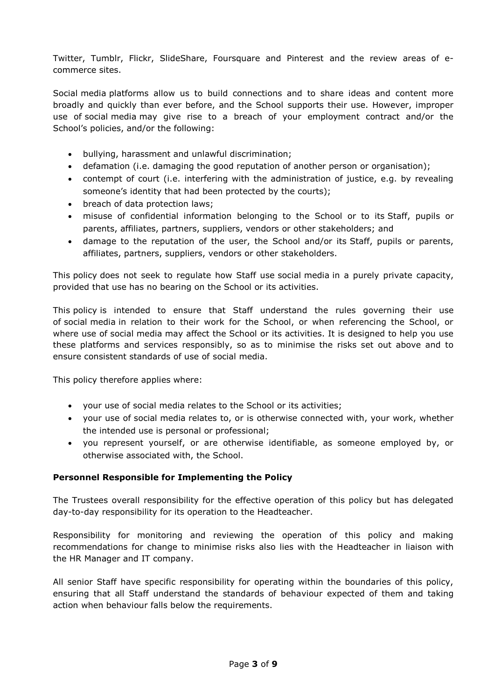Twitter, Tumblr, Flickr, SlideShare, Foursquare and Pinterest and the review areas of ecommerce sites.

Social media platforms allow us to build connections and to share ideas and content more broadly and quickly than ever before, and the School supports their use. However, improper use of social media may give rise to a breach of your employment contract and/or the School's policies, and/or the following:

- bullying, harassment and unlawful discrimination;
- defamation (i.e. damaging the good reputation of another person or organisation);
- contempt of court (i.e. interfering with the administration of justice, e.g. by revealing someone's identity that had been protected by the courts);
- breach of data protection laws;
- misuse of confidential information belonging to the School or to its Staff, pupils or parents, affiliates, partners, suppliers, vendors or other stakeholders; and
- damage to the reputation of the user, the School and/or its Staff, pupils or parents, affiliates, partners, suppliers, vendors or other stakeholders.

This policy does not seek to regulate how Staff use social media in a purely private capacity, provided that use has no bearing on the School or its activities.

This policy is intended to ensure that Staff understand the rules governing their use of social media in relation to their work for the School, or when referencing the School, or where use of social media may affect the School or its activities. It is designed to help you use these platforms and services responsibly, so as to minimise the risks set out above and to ensure consistent standards of use of social media.

This policy therefore applies where:

- your use of social media relates to the School or its activities;
- your use of social media relates to, or is otherwise connected with, your work, whether the intended use is personal or professional;
- you represent yourself, or are otherwise identifiable, as someone employed by, or otherwise associated with, the School.

## **Personnel Responsible for Implementing the Policy**

The Trustees overall responsibility for the effective operation of this policy but has delegated day-to-day responsibility for its operation to the Headteacher.

Responsibility for monitoring and reviewing the operation of this policy and making recommendations for change to minimise risks also lies with the Headteacher in liaison with the HR Manager and IT company.

All senior Staff have specific responsibility for operating within the boundaries of this policy, ensuring that all Staff understand the standards of behaviour expected of them and taking action when behaviour falls below the requirements.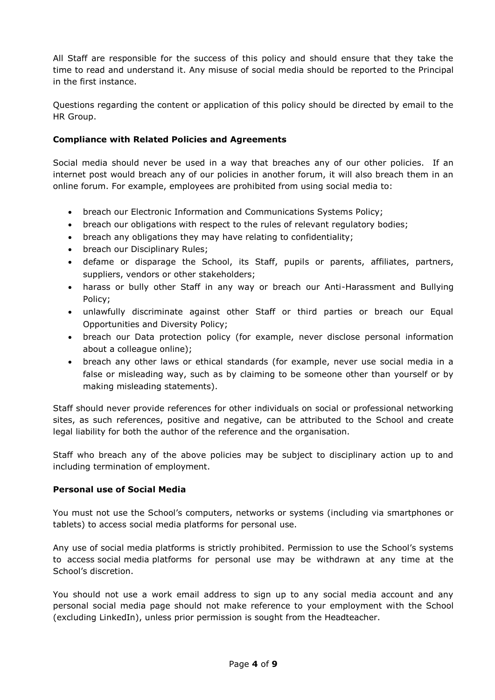All Staff are responsible for the success of this policy and should ensure that they take the time to read and understand it. Any misuse of social media should be reported to the Principal in the first instance.

Questions regarding the content or application of this policy should be directed by email to the HR Group.

## **Compliance with Related Policies and Agreements**

Social media should never be used in a way that breaches any of our other policies. If an internet post would breach any of our policies in another forum, it will also breach them in an online forum. For example, employees are prohibited from using social media to:

- breach our Electronic Information and Communications Systems Policy;
- breach our obligations with respect to the rules of relevant regulatory bodies;
- breach any obligations they may have relating to confidentiality;
- breach our Disciplinary Rules;
- defame or disparage the School, its Staff, pupils or parents, affiliates, partners, suppliers, vendors or other stakeholders;
- harass or bully other Staff in any way or breach our Anti-Harassment and Bullying Policy;
- unlawfully discriminate against other Staff or third parties or breach our Equal Opportunities and Diversity Policy;
- breach our Data protection policy (for example, never disclose personal information about a colleague online);
- breach any other laws or ethical standards (for example, never use social media in a false or misleading way, such as by claiming to be someone other than yourself or by making misleading statements).

Staff should never provide references for other individuals on social or professional networking sites, as such references, positive and negative, can be attributed to the School and create legal liability for both the author of the reference and the organisation.

Staff who breach any of the above policies may be subject to disciplinary action up to and including termination of employment.

# **Personal use of Social Media**

You must not use the School's computers, networks or systems (including via smartphones or tablets) to access social media platforms for personal use.

Any use of social media platforms is strictly prohibited. Permission to use the School's systems to access social media platforms for personal use may be withdrawn at any time at the School's discretion.

You should not use a work email address to sign up to any social media account and any personal social media page should not make reference to your employment with the School (excluding LinkedIn), unless prior permission is sought from the Headteacher.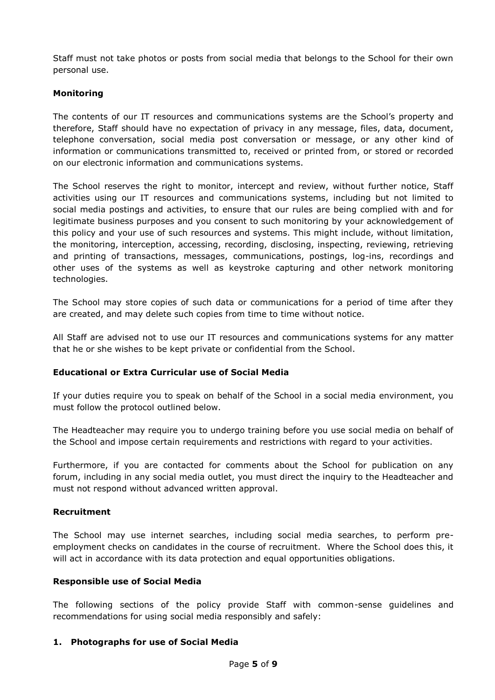Staff must not take photos or posts from social media that belongs to the School for their own personal use.

## **Monitoring**

The contents of our IT resources and communications systems are the School's property and therefore, Staff should have no expectation of privacy in any message, files, data, document, telephone conversation, social media post conversation or message, or any other kind of information or communications transmitted to, received or printed from, or stored or recorded on our electronic information and communications systems.

The School reserves the right to monitor, intercept and review, without further notice, Staff activities using our IT resources and communications systems, including but not limited to social media postings and activities, to ensure that our rules are being complied with and for legitimate business purposes and you consent to such monitoring by your acknowledgement of this policy and your use of such resources and systems. This might include, without limitation, the monitoring, interception, accessing, recording, disclosing, inspecting, reviewing, retrieving and printing of transactions, messages, communications, postings, log-ins, recordings and other uses of the systems as well as keystroke capturing and other network monitoring technologies.

The School may store copies of such data or communications for a period of time after they are created, and may delete such copies from time to time without notice.

All Staff are advised not to use our IT resources and communications systems for any matter that he or she wishes to be kept private or confidential from the School.

## **Educational or Extra Curricular use of Social Media**

If your duties require you to speak on behalf of the School in a social media environment, you must follow the protocol outlined below.

The Headteacher may require you to undergo training before you use social media on behalf of the School and impose certain requirements and restrictions with regard to your activities.

Furthermore, if you are contacted for comments about the School for publication on any forum, including in any social media outlet, you must direct the inquiry to the Headteacher and must not respond without advanced written approval.

#### **Recruitment**

The School may use internet searches, including social media searches, to perform preemployment checks on candidates in the course of recruitment. Where the School does this, it will act in accordance with its data protection and equal opportunities obligations.

## **Responsible use of Social Media**

The following sections of the policy provide Staff with common-sense guidelines and recommendations for using social media responsibly and safely:

## **1. Photographs for use of Social Media**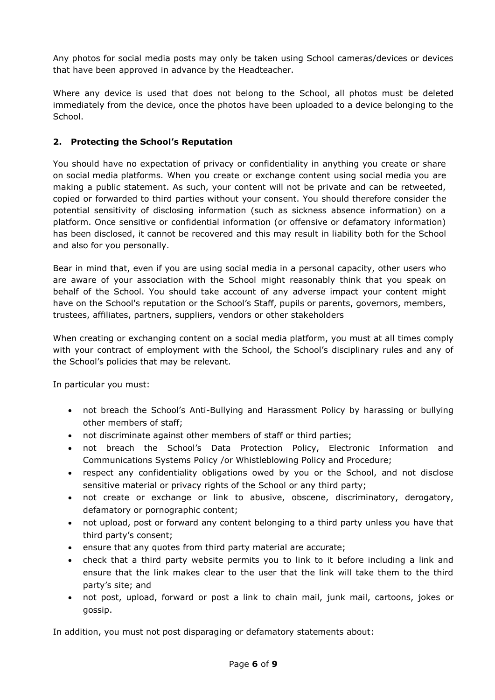Any photos for social media posts may only be taken using School cameras/devices or devices that have been approved in advance by the Headteacher.

Where any device is used that does not belong to the School, all photos must be deleted immediately from the device, once the photos have been uploaded to a device belonging to the School.

## **2. Protecting the School's Reputation**

You should have no expectation of privacy or confidentiality in anything you create or share on social media platforms. When you create or exchange content using social media you are making a public statement. As such, your content will not be private and can be retweeted, copied or forwarded to third parties without your consent. You should therefore consider the potential sensitivity of disclosing information (such as sickness absence information) on a platform. Once sensitive or confidential information (or offensive or defamatory information) has been disclosed, it cannot be recovered and this may result in liability both for the School and also for you personally.

Bear in mind that, even if you are using social media in a personal capacity, other users who are aware of your association with the School might reasonably think that you speak on behalf of the School. You should take account of any adverse impact your content might have on the School's reputation or the School's Staff, pupils or parents, governors, members, trustees, affiliates, partners, suppliers, vendors or other stakeholders

When creating or exchanging content on a social media platform, you must at all times comply with your contract of employment with the School, the School's disciplinary rules and any of the School's policies that may be relevant.

In particular you must:

- not breach the School's Anti-Bullying and Harassment Policy by harassing or bullying other members of staff;
- not discriminate against other members of staff or third parties;
- not breach the School's Data Protection Policy, Electronic Information and Communications Systems Policy /or Whistleblowing Policy and Procedure;
- respect any confidentiality obligations owed by you or the School, and not disclose sensitive material or privacy rights of the School or any third party;
- not create or exchange or link to abusive, obscene, discriminatory, derogatory, defamatory or pornographic content;
- not upload, post or forward any content belonging to a third party unless you have that third party's consent;
- ensure that any quotes from third party material are accurate;
- check that a third party website permits you to link to it before including a link and ensure that the link makes clear to the user that the link will take them to the third party's site; and
- not post, upload, forward or post a link to chain mail, junk mail, cartoons, jokes or gossip.

In addition, you must not post disparaging or defamatory statements about: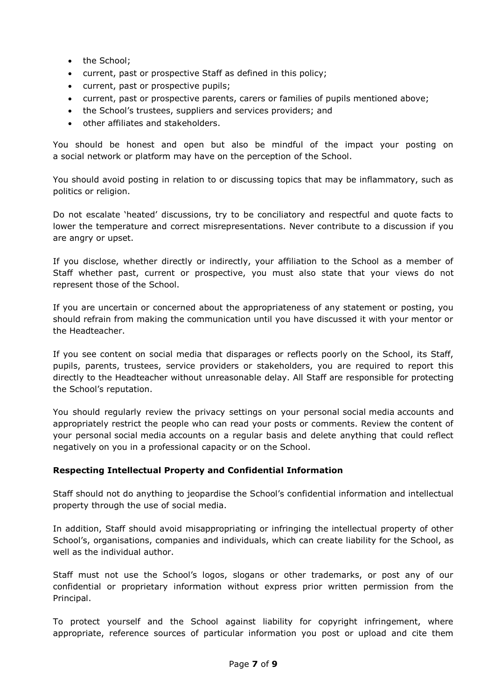- the School:
- current, past or prospective Staff as defined in this policy;
- current, past or prospective pupils;
- current, past or prospective parents, carers or families of pupils mentioned above;
- the School's trustees, suppliers and services providers; and
- other affiliates and stakeholders.

You should be honest and open but also be mindful of the impact your posting on a social network or platform may have on the perception of the School.

You should avoid posting in relation to or discussing topics that may be inflammatory, such as politics or religion.

Do not escalate 'heated' discussions, try to be conciliatory and respectful and quote facts to lower the temperature and correct misrepresentations. Never contribute to a discussion if you are angry or upset.

If you disclose, whether directly or indirectly, your affiliation to the School as a member of Staff whether past, current or prospective, you must also state that your views do not represent those of the School.

If you are uncertain or concerned about the appropriateness of any statement or posting, you should refrain from making the communication until you have discussed it with your mentor or the Headteacher.

If you see content on social media that disparages or reflects poorly on the School, its Staff, pupils, parents, trustees, service providers or stakeholders, you are required to report this directly to the Headteacher without unreasonable delay. All Staff are responsible for protecting the School's reputation.

You should regularly review the privacy settings on your personal social media accounts and appropriately restrict the people who can read your posts or comments. Review the content of your personal social media accounts on a regular basis and delete anything that could reflect negatively on you in a professional capacity or on the School.

## **Respecting Intellectual Property and Confidential Information**

Staff should not do anything to jeopardise the School's confidential information and intellectual property through the use of social media.

In addition, Staff should avoid misappropriating or infringing the intellectual property of other School's, organisations, companies and individuals, which can create liability for the School, as well as the individual author.

Staff must not use the School's logos, slogans or other trademarks, or post any of our confidential or proprietary information without express prior written permission from the Principal.

To protect yourself and the School against liability for copyright infringement, where appropriate, reference sources of particular information you post or upload and cite them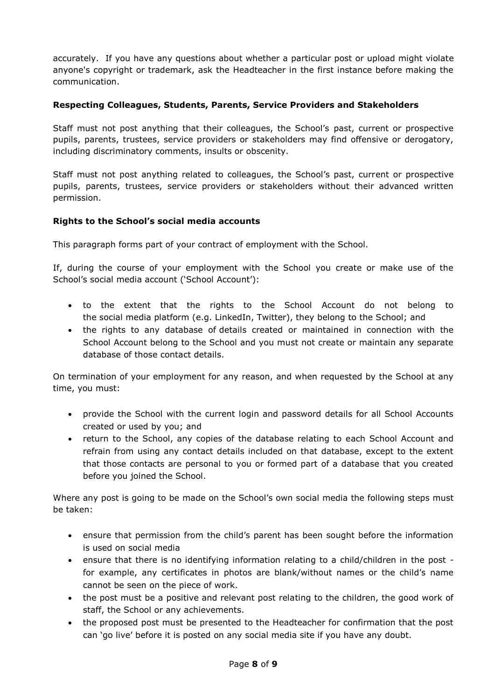accurately. If you have any questions about whether a particular post or upload might violate anyone's copyright or trademark, ask the Headteacher in the first instance before making the communication.

## **Respecting Colleagues, Students, Parents, Service Providers and Stakeholders**

Staff must not post anything that their colleagues, the School's past, current or prospective pupils, parents, trustees, service providers or stakeholders may find offensive or derogatory, including discriminatory comments, insults or obscenity.

Staff must not post anything related to colleagues, the School's past, current or prospective pupils, parents, trustees, service providers or stakeholders without their advanced written permission.

## **Rights to the School's social media accounts**

This paragraph forms part of your contract of employment with the School.

If, during the course of your employment with the School you create or make use of the School's social media account ('School Account'):

- to the extent that the rights to the School Account do not belong to the social media platform (e.g. LinkedIn, Twitter), they belong to the School; and
- the rights to any database of details created or maintained in connection with the School Account belong to the School and you must not create or maintain any separate database of those contact details.

On termination of your employment for any reason, and when requested by the School at any time, you must:

- provide the School with the current login and password details for all School Accounts created or used by you; and
- return to the School, any copies of the database relating to each School Account and refrain from using any contact details included on that database, except to the extent that those contacts are personal to you or formed part of a database that you created before you joined the School.

Where any post is going to be made on the School's own social media the following steps must be taken:

- ensure that permission from the child's parent has been sought before the information is used on social media
- ensure that there is no identifying information relating to a child/children in the post for example, any certificates in photos are blank/without names or the child's name cannot be seen on the piece of work.
- the post must be a positive and relevant post relating to the children, the good work of staff, the School or any achievements.
- the proposed post must be presented to the Headteacher for confirmation that the post can 'go live' before it is posted on any social media site if you have any doubt.